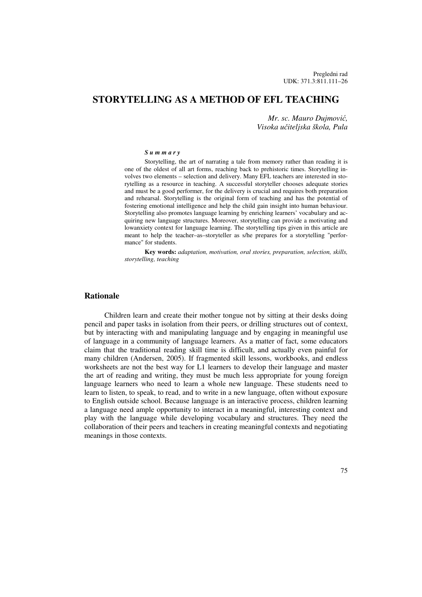# **STORYTELLING AS A METHOD OF EFL TEACHING**

*Mr. sc. Mauro Dujmovi*ć*, Visoka u*č*iteljska škola, Pula* 

#### *S u m m a r y*

Storytelling, the art of narrating a tale from memory rather than reading it is one of the oldest of all art forms, reaching back to prehistoric times. Storytelling involves two elements – selection and delivery. Many EFL teachers are interested in storytelling as a resource in teaching. A successful storyteller chooses adequate stories and must be a good performer, for the delivery is crucial and requires both preparation and rehearsal. Storytelling is the original form of teaching and has the potential of fostering emotional intelligence and help the child gain insight into human behaviour. Storytelling also promotes language learning by enriching learners' vocabulary and acquiring new language structures. Moreover, storytelling can provide a motivating and lowanxiety context for language learning. The storytelling tips given in this article are meant to help the teacher–as–storyteller as s/he prepares for a storytelling "performance" for students.

**Key words:** *adaptation, motivation, oral stories, preparation, selection, skills, storytelling, teaching* 

#### **Rationale**

Children learn and create their mother tongue not by sitting at their desks doing pencil and paper tasks in isolation from their peers, or drilling structures out of context, but by interacting with and manipulating language and by engaging in meaningful use of language in a community of language learners. As a matter of fact, some educators claim that the traditional reading skill time is difficult, and actually even painful for many children (Andersen, 2005). If fragmented skill lessons, workbooks, and endless worksheets are not the best way for L1 learners to develop their language and master the art of reading and writing, they must be much less appropriate for young foreign language learners who need to learn a whole new language. These students need to learn to listen, to speak, to read, and to write in a new language, often without exposure to English outside school. Because language is an interactive process, children learning a language need ample opportunity to interact in a meaningful, interesting context and play with the language while developing vocabulary and structures. They need the collaboration of their peers and teachers in creating meaningful contexts and negotiating meanings in those contexts.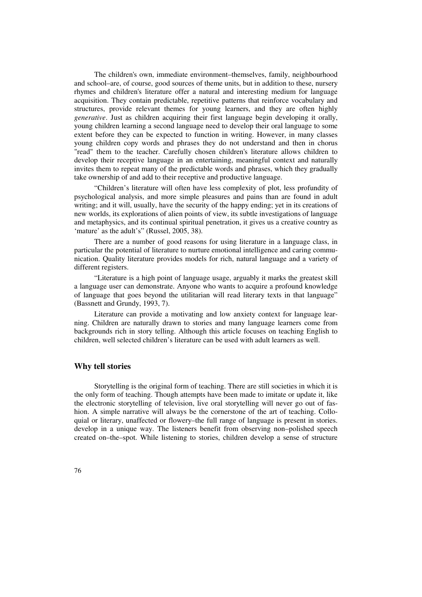The children's own, immediate environment–themselves, family, neighbourhood and school–are, of course, good sources of theme units, but in addition to these, nursery rhymes and children's literature offer a natural and interesting medium for language acquisition. They contain predictable, repetitive patterns that reinforce vocabulary and structures, provide relevant themes for young learners, and they are often highly *generative*. Just as children acquiring their first language begin developing it orally, young children learning a second language need to develop their oral language to some extent before they can be expected to function in writing. However, in many classes young children copy words and phrases they do not understand and then in chorus "read" them to the teacher. Carefully chosen children's literature allows children to develop their receptive language in an entertaining, meaningful context and naturally invites them to repeat many of the predictable words and phrases, which they gradually take ownership of and add to their receptive and productive language.

"Children's literature will often have less complexity of plot, less profundity of psychological analysis, and more simple pleasures and pains than are found in adult writing; and it will, usually, have the security of the happy ending; yet in its creations of new worlds, its explorations of alien points of view, its subtle investigations of language and metaphysics, and its continual spiritual penetration, it gives us a creative country as 'mature' as the adult's" (Russel, 2005, 38).

There are a number of good reasons for using literature in a language class, in particular the potential of literature to nurture emotional intelligence and caring communication. Quality literature provides models for rich, natural language and a variety of different registers.

"Literature is a high point of language usage, arguably it marks the greatest skill a language user can demonstrate. Anyone who wants to acquire a profound knowledge of language that goes beyond the utilitarian will read literary texts in that language" (Bassnett and Grundy, 1993, 7).

Literature can provide a motivating and low anxiety context for language learning. Children are naturally drawn to stories and many language learners come from backgrounds rich in story telling. Although this article focuses on teaching English to children, well selected children's literature can be used with adult learners as well.

### **Why tell stories**

Storytelling is the original form of teaching. There are still societies in which it is the only form of teaching. Though attempts have been made to imitate or update it, like the electronic storytelling of television, live oral storytelling will never go out of fashion. A simple narrative will always be the cornerstone of the art of teaching. Colloquial or literary, unaffected or flowery–the full range of language is present in stories. develop in a unique way. The listeners benefit from observing non–polished speech created on–the–spot. While listening to stories, children develop a sense of structure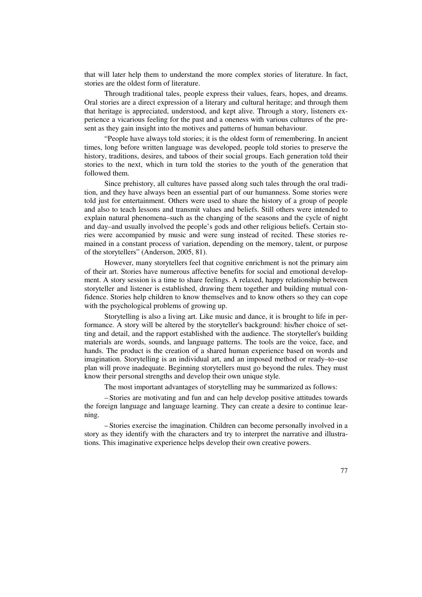that will later help them to understand the more complex stories of literature. In fact, stories are the oldest form of literature.

Through traditional tales, people express their values, fears, hopes, and dreams. Oral stories are a direct expression of a literary and cultural heritage; and through them that heritage is appreciated, understood, and kept alive. Through a story, listeners experience a vicarious feeling for the past and a oneness with various cultures of the present as they gain insight into the motives and patterns of human behaviour.

"People have always told stories; it is the oldest form of remembering. In ancient times, long before written language was developed, people told stories to preserve the history, traditions, desires, and taboos of their social groups. Each generation told their stories to the next, which in turn told the stories to the youth of the generation that followed them.

Since prehistory, all cultures have passed along such tales through the oral tradition, and they have always been an essential part of our humanness. Some stories were told just for entertainment. Others were used to share the history of a group of people and also to teach lessons and transmit values and beliefs. Still others were intended to explain natural phenomena–such as the changing of the seasons and the cycle of night and day–and usually involved the people's gods and other religious beliefs. Certain stories were accompanied by music and were sung instead of recited. These stories remained in a constant process of variation, depending on the memory, talent, or purpose of the storytellers" (Anderson, 2005, 81).

However, many storytellers feel that cognitive enrichment is not the primary aim of their art. Stories have numerous affective benefits for social and emotional development. A story session is a time to share feelings. A relaxed, happy relationship between storyteller and listener is established, drawing them together and building mutual confidence. Stories help children to know themselves and to know others so they can cope with the psychological problems of growing up.

Storytelling is also a living art. Like music and dance, it is brought to life in performance. A story will be altered by the storyteller's background: his/her choice of setting and detail, and the rapport established with the audience. The storyteller's building materials are words, sounds, and language patterns. The tools are the voice, face, and hands. The product is the creation of a shared human experience based on words and imagination. Storytelling is an individual art, and an imposed method or ready–to–use plan will prove inadequate. Beginning storytellers must go beyond the rules. They must know their personal strengths and develop their own unique style.

The most important advantages of storytelling may be summarized as follows:

– Stories are motivating and fun and can help develop positive attitudes towards the foreign language and language learning. They can create a desire to continue learning.

– Stories exercise the imagination. Children can become personally involved in a story as they identify with the characters and try to interpret the narrative and illustrations. This imaginative experience helps develop their own creative powers.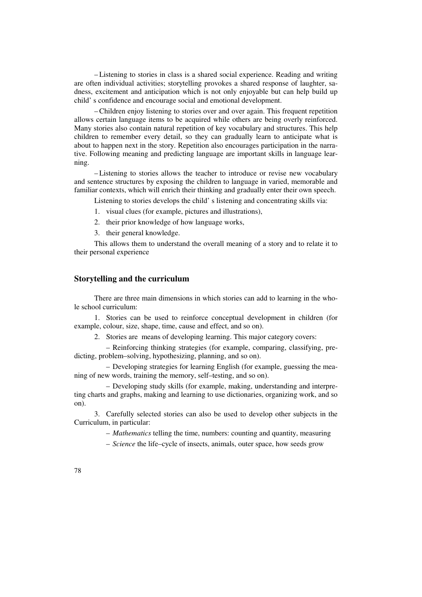– Listening to stories in class is a shared social experience. Reading and writing are often individual activities; storytelling provokes a shared response of laughter, sadness, excitement and anticipation which is not only enjoyable but can help build up child' s confidence and encourage social and emotional development.

– Children enjoy listening to stories over and over again. This frequent repetition allows certain language items to be acquired while others are being overly reinforced. Many stories also contain natural repetition of key vocabulary and structures. This help children to remember every detail, so they can gradually learn to anticipate what is about to happen next in the story. Repetition also encourages participation in the narrative. Following meaning and predicting language are important skills in language learning.

– Listening to stories allows the teacher to introduce or revise new vocabulary and sentence structures by exposing the children to language in varied, memorable and familiar contexts, which will enrich their thinking and gradually enter their own speech.

Listening to stories develops the child' s listening and concentrating skills via:

- 1. visual clues (for example, pictures and illustrations),
- 2. their prior knowledge of how language works,
- 3. their general knowledge.

This allows them to understand the overall meaning of a story and to relate it to their personal experience

## **Storytelling and the curriculum**

There are three main dimensions in which stories can add to learning in the whole school curriculum:

1. Stories can be used to reinforce conceptual development in children (for example, colour, size, shape, time, cause and effect, and so on).

2. Stories are means of developing learning. This major category covers:

 – Reinforcing thinking strategies (for example, comparing, classifying, predicting, problem–solving, hypothesizing, planning, and so on).

 – Developing strategies for learning English (for example, guessing the meaning of new words, training the memory, self–testing, and so on).

 – Developing study skills (for example, making, understanding and interpreting charts and graphs, making and learning to use dictionaries, organizing work, and so on).

3. Carefully selected stories can also be used to develop other subjects in the Curriculum, in particular:

– *Mathematics* telling the time, numbers: counting and quantity, measuring

– *Science* the life–cycle of insects, animals, outer space, how seeds grow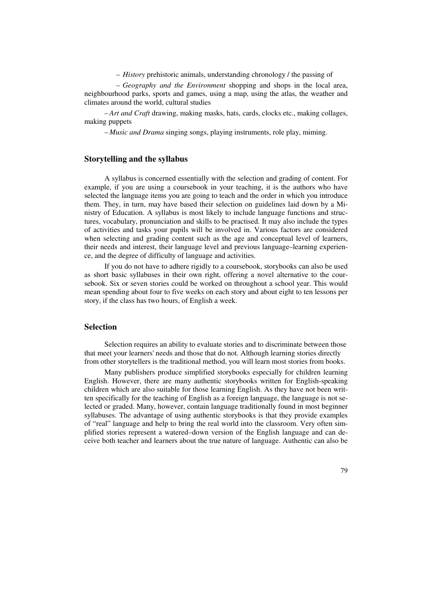– *History* prehistoric animals, understanding chronology / the passing of

 – *Geography and the Environment* shopping and shops in the local area, neighbourhood parks, sports and games, using a map, using the atlas, the weather and climates around the world, cultural studies

– *Art and Craft* drawing, making masks, hats, cards, clocks etc., making collages, making puppets

– *Music and Drama* singing songs, playing instruments, role play, miming.

## **Storytelling and the syllabus**

A syllabus is concerned essentially with the selection and grading of content. For example, if you are using a coursebook in your teaching, it is the authors who have selected the language items you are going to teach and the order in which you introduce them. They, in turn, may have based their selection on guidelines laid down by a Ministry of Education. A syllabus is most likely to include language functions and structures, vocabulary, pronunciation and skills to be practised. It may also include the types of activities and tasks your pupils will be involved in. Various factors are considered when selecting and grading content such as the age and conceptual level of learners, their needs and interest, their language level and previous language–learning experience, and the degree of difficulty of language and activities.

If you do not have to adhere rigidly to a coursebook, storybooks can also be used as short basic syllabuses in their own right, offering a novel alternative to the coursebook. Six or seven stories could be worked on throughout a school year. This would mean spending about four to five weeks on each story and about eight to ten lessons per story, if the class has two hours, of English a week.

## **Selection**

Selection requires an ability to evaluate stories and to discriminate between those that meet your learners' needs and those that do not. Although learning stories directly from other storytellers is the traditional method, you will learn most stories from books.

Many publishers produce simplified storybooks especially for children learning English. However, there are many authentic storybooks written for English-speaking children which are also suitable for those learning English. As they have not been written specifically for the teaching of English as a foreign language, the language is not selected or graded. Many, however, contain language traditionally found in most beginner syllabuses. The advantage of using authentic storybooks is that they provide examples of "real" language and help to bring the real world into the classroom. Very often simplified stories represent a watered–down version of the English language and can deceive both teacher and learners about the true nature of language. Authentic can also be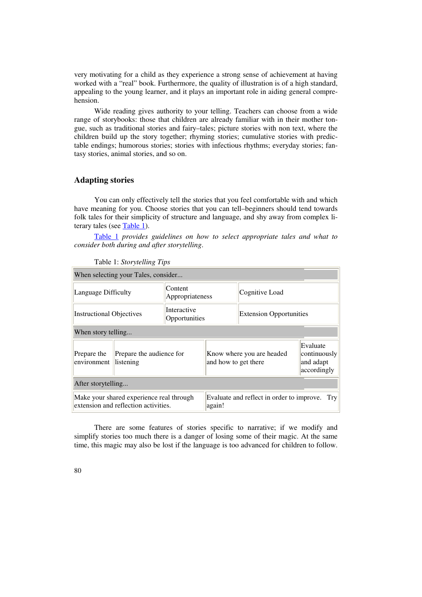very motivating for a child as they experience a strong sense of achievement at having worked with a "real" book. Furthermore, the quality of illustration is of a high standard, appealing to the young learner, and it plays an important role in aiding general comprehension.

Wide reading gives authority to your telling. Teachers can choose from a wide range of storybooks: those that children are already familiar with in their mother tongue, such as traditional stories and fairy–tales; picture stories with non text, where the children build up the story together; rhyming stories; cumulative stories with predictable endings; humorous stories; stories with infectious rhythms; everyday stories; fantasy stories, animal stories, and so on.

## **Adapting stories**

You can only effectively tell the stories that you feel comfortable with and which have meaning for you. Choose stories that you can tell–beginners should tend towards folk tales for their simplicity of structure and language, and shy away from complex literary tales (see Table 1).

Table 1 *provides guidelines on how to select appropriate tales and what to consider both during and after storytelling*.

| When selecting your Tales, consider                                              |                                       |                              |                                                            |                                |                                                      |
|----------------------------------------------------------------------------------|---------------------------------------|------------------------------|------------------------------------------------------------|--------------------------------|------------------------------------------------------|
| Language Difficulty                                                              |                                       | Content<br>Appropriateness   |                                                            | Cognitive Load                 |                                                      |
| <b>Instructional Objectives</b>                                                  |                                       | Interactive<br>Opportunities |                                                            | <b>Extension Opportunities</b> |                                                      |
| When story telling                                                               |                                       |                              |                                                            |                                |                                                      |
| Prepare the<br>environment                                                       | Prepare the audience for<br>listening |                              | Know where you are headed<br>and how to get there          |                                | Evaluate<br>continuously<br>and adapt<br>accordingly |
| After storytelling                                                               |                                       |                              |                                                            |                                |                                                      |
| Make your shared experience real through<br>extension and reflection activities. |                                       |                              | Evaluate and reflect in order to improve.<br>Trv<br>again! |                                |                                                      |

Table 1: *Storytelling Tips*

There are some features of stories specific to narrative; if we modify and simplify stories too much there is a danger of losing some of their magic. At the same time, this magic may also be lost if the language is too advanced for children to follow.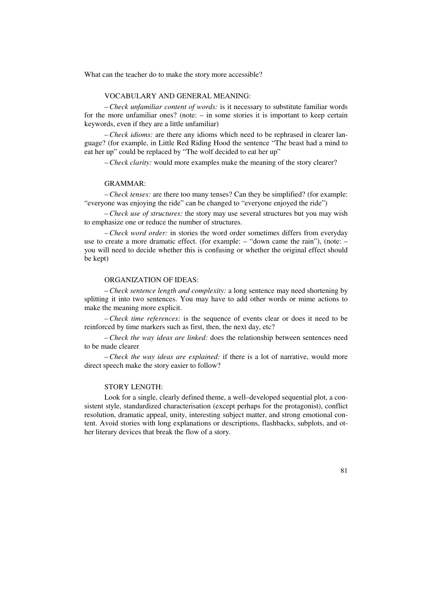What can the teacher do to make the story more accessible?

#### VOCABULARY AND GENERAL MEANING:

– *Check unfamiliar content of words:* is it necessary to substitute familiar words for the more unfamiliar ones? (note: – in some stories it is important to keep certain keywords, even if they are a little unfamiliar)

– *Check idioms:* are there any idioms which need to be rephrased in clearer language? (for example, in Little Red Riding Hood the sentence "The beast had a mind to eat her up" could be replaced by "The wolf decided to eat her up"

– *Check clarity:* would more examples make the meaning of the story clearer?

#### GRAMMAR:

– *Check tenses:* are there too many tenses? Can they be simplified? (for example: "everyone was enjoying the ride" can be changed to "everyone enjoyed the ride")

– *Check use of structures:* the story may use several structures but you may wish to emphasize one or reduce the number of structures.

– *Check word order:* in stories the word order sometimes differs from everyday use to create a more dramatic effect. (for example: – "down came the rain"), (note: – you will need to decide whether this is confusing or whether the original effect should be kept)

#### ORGANIZATION OF IDEAS:

– *Check sentence length and complexity:* a long sentence may need shortening by splitting it into two sentences. You may have to add other words or mime actions to make the meaning more explicit.

– *Check time references:* is the sequence of events clear or does it need to be reinforced by time markers such as first, then, the next day, etc?

– *Check the way ideas are linked:* does the relationship between sentences need to be made clearer

– *Check the way ideas are explained:* if there is a lot of narrative, would more direct speech make the story easier to follow?

#### STORY LENGTH:

Look for a single, clearly defined theme, a well–developed sequential plot, a consistent style, standardized characterisation (except perhaps for the protagonist), conflict resolution, dramatic appeal, unity, interesting subject matter, and strong emotional content. Avoid stories with long explanations or descriptions, flashbacks, subplots, and other literary devices that break the flow of a story.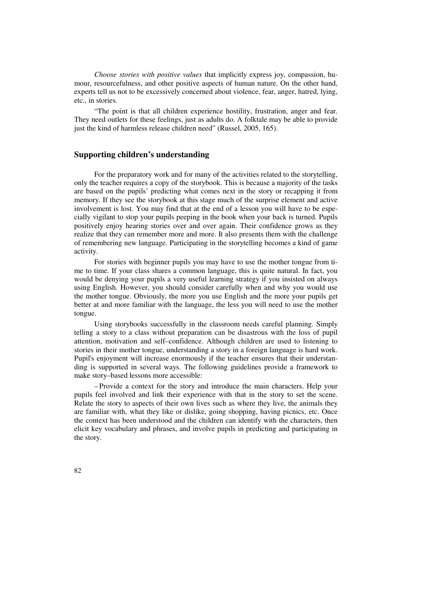*Choose stories with positive values* that implicitly express joy, compassion, humour, resourcefulness, and other positive aspects of human nature. On the other hand, experts tell us not to be excessively concerned about violence, fear, anger, hatred, lying, etc., in stories.

"The point is that all children experience hostility, frustration, anger and fear. They need outlets for these feelings, just as adults do. A folktale may be able to provide just the kind of harmless release children need" (Russel, 2005, 165).

## **Supporting children's understanding**

For the preparatory work and for many of the activities related to the storytelling, only the teacher requires a copy of the storybook. This is because a majority of the tasks are based on the pupils' predicting what comes next in the story or recapping it from memory. If they see the storybook at this stage much of the surprise element and active involvement is lost. You may find that at the end of a lesson you will have to be especially vigilant to stop your pupils peeping in the book when your back is turned. Pupils positively enjoy hearing stories over and over again. Their confidence grows as they realize that they can remember more and more. It also presents them with the challenge of remembering new language. Participating in the storytelling becomes a kind of game activity.

For stories with beginner pupils you may have to use the mother tongue from time to time. If your class shares a common language, this is quite natural. In fact, you would be denying your pupils a very useful learning strategy if you insisted on always using English. However, you should consider carefully when and why you would use the mother tongue. Obviously, the more you use English and the more your pupils get better at and more familiar with the language, the less you will need to use the mother tongue.

Using storybooks successfully in the classroom needs careful planning. Simply telling a story to a class without preparation can be disastrous with the loss of pupil attention, motivation and self–confidence. Although children are used to listening to stories in their mother tongue, understanding a story in a foreign language is hard work. Pupil's enjoyment will increase enormously if the teacher ensures that their understanding is supported in several ways. The following guidelines provide a framework to make story–based lessons more accessible:

– Provide a context for the story and introduce the main characters. Help your pupils feel involved and link their experience with that in the story to set the scene. Relate the story to aspects of their own lives such as where they live, the animals they are familiar with, what they like or dislike, going shopping, having picnics, etc. Once the context has been understood and the children can identify with the characters, then elicit key vocabulary and phrases, and involve pupils in predicting and participating in the story.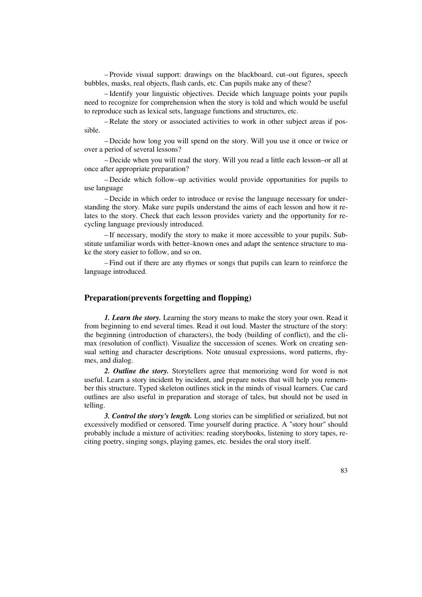– Provide visual support: drawings on the blackboard, cut–out figures, speech bubbles, masks, real objects, flash cards, etc. Can pupils make any of these?

– Identify your linguistic objectives. Decide which language points your pupils need to recognize for comprehension when the story is told and which would be useful to reproduce such as lexical sets, language functions and structures, etc.

– Relate the story or associated activities to work in other subject areas if possible.

– Decide how long you will spend on the story. Will you use it once or twice or over a period of several lessons?

– Decide when you will read the story. Will you read a little each lesson–or all at once after appropriate preparation?

– Decide which follow–up activities would provide opportunities for pupils to use language

– Decide in which order to introduce or revise the language necessary for understanding the story. Make sure pupils understand the aims of each lesson and how it relates to the story. Check that each lesson provides variety and the opportunity for recycling language previously introduced.

– If necessary, modify the story to make it more accessible to your pupils. Substitute unfamiliar words with better–known ones and adapt the sentence structure to make the story easier to follow, and so on.

– Find out if there are any rhymes or songs that pupils can learn to reinforce the language introduced.

## **Preparation(prevents forgetting and flopping)**

*1. Learn the story.* Learning the story means to make the story your own. Read it from beginning to end several times. Read it out loud. Master the structure of the story: the beginning (introduction of characters), the body (building of conflict), and the climax (resolution of conflict). Visualize the succession of scenes. Work on creating sensual setting and character descriptions. Note unusual expressions, word patterns, rhymes, and dialog.

*2. Outline the story.* Storytellers agree that memorizing word for word is not useful. Learn a story incident by incident, and prepare notes that will help you remember this structure. Typed skeleton outlines stick in the minds of visual learners. Cue card outlines are also useful in preparation and storage of tales, but should not be used in telling.

*3. Control the story's length.* Long stories can be simplified or serialized, but not excessively modified or censored. Time yourself during practice. A "story hour" should probably include a mixture of activities: reading storybooks, listening to story tapes, reciting poetry, singing songs, playing games, etc. besides the oral story itself.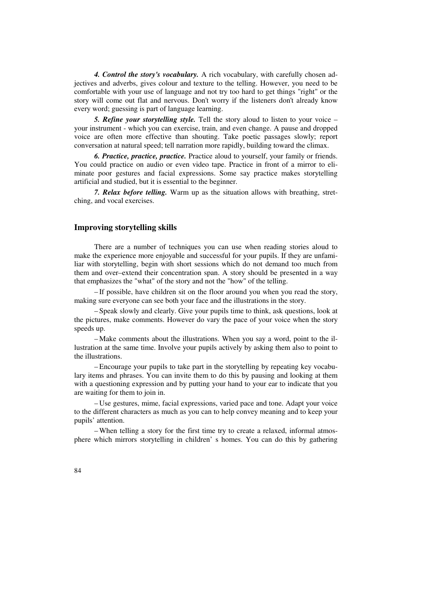*4. Control the story's vocabulary.* A rich vocabulary, with carefully chosen adjectives and adverbs, gives colour and texture to the telling. However, you need to be comfortable with your use of language and not try too hard to get things "right" or the story will come out flat and nervous. Don't worry if the listeners don't already know every word; guessing is part of language learning.

*5. Refine your storytelling style.* Tell the story aloud to listen to your voice – your instrument - which you can exercise, train, and even change. A pause and dropped voice are often more effective than shouting. Take poetic passages slowly; report conversation at natural speed; tell narration more rapidly, building toward the climax.

*6. Practice, practice, practice.* Practice aloud to yourself, your family or friends. You could practice on audio or even video tape. Practice in front of a mirror to eliminate poor gestures and facial expressions. Some say practice makes storytelling artificial and studied, but it is essential to the beginner.

*7. Relax before telling.* Warm up as the situation allows with breathing, stretching, and vocal exercises.

## **Improving storytelling skills**

There are a number of techniques you can use when reading stories aloud to make the experience more enjoyable and successful for your pupils. If they are unfamiliar with storytelling, begin with short sessions which do not demand too much from them and over–extend their concentration span. A story should be presented in a way that emphasizes the "what" of the story and not the "how" of the telling.

– If possible, have children sit on the floor around you when you read the story, making sure everyone can see both your face and the illustrations in the story.

– Speak slowly and clearly. Give your pupils time to think, ask questions, look at the pictures, make comments. However do vary the pace of your voice when the story speeds up.

– Make comments about the illustrations. When you say a word, point to the illustration at the same time. Involve your pupils actively by asking them also to point to the illustrations.

– Encourage your pupils to take part in the storytelling by repeating key vocabulary items and phrases. You can invite them to do this by pausing and looking at them with a questioning expression and by putting your hand to your ear to indicate that you are waiting for them to join in.

– Use gestures, mime, facial expressions, varied pace and tone. Adapt your voice to the different characters as much as you can to help convey meaning and to keep your pupils' attention.

– When telling a story for the first time try to create a relaxed, informal atmosphere which mirrors storytelling in children' s homes. You can do this by gathering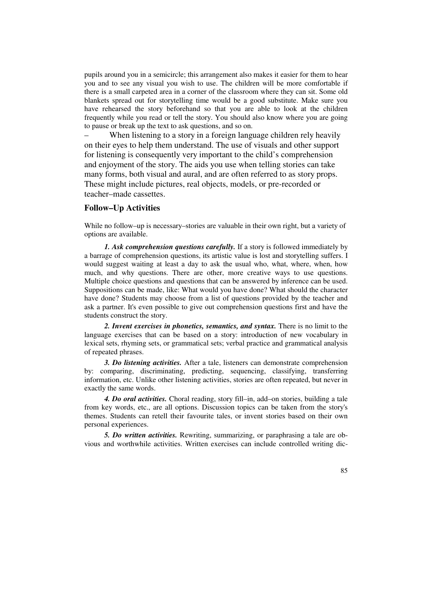pupils around you in a semicircle; this arrangement also makes it easier for them to hear you and to see any visual you wish to use. The children will be more comfortable if there is a small carpeted area in a corner of the classroom where they can sit. Some old blankets spread out for storytelling time would be a good substitute. Make sure you have rehearsed the story beforehand so that you are able to look at the children frequently while you read or tell the story. You should also know where you are going to pause or break up the text to ask questions, and so on.

When listening to a story in a foreign language children rely heavily on their eyes to help them understand. The use of visuals and other support for listening is consequently very important to the child's comprehension and enjoyment of the story. The aids you use when telling stories can take many forms, both visual and aural, and are often referred to as story props. These might include pictures, real objects, models, or pre-recorded or teacher–made cassettes.

### **Follow–Up Activities**

While no follow–up is necessary–stories are valuable in their own right, but a variety of options are available.

*1. Ask comprehension questions carefully.* If a story is followed immediately by a barrage of comprehension questions, its artistic value is lost and storytelling suffers. I would suggest waiting at least a day to ask the usual who, what, where, when, how much, and why questions. There are other, more creative ways to use questions. Multiple choice questions and questions that can be answered by inference can be used. Suppositions can be made, like: What would you have done? What should the character have done? Students may choose from a list of questions provided by the teacher and ask a partner. It's even possible to give out comprehension questions first and have the students construct the story.

*2. Invent exercises in phonetics, semantics, and syntax.* There is no limit to the language exercises that can be based on a story: introduction of new vocabulary in lexical sets, rhyming sets, or grammatical sets; verbal practice and grammatical analysis of repeated phrases.

*3. Do listening activities.* After a tale, listeners can demonstrate comprehension by: comparing, discriminating, predicting, sequencing, classifying, transferring information, etc. Unlike other listening activities, stories are often repeated, but never in exactly the same words.

*4. Do oral activities.* Choral reading, story fill–in, add–on stories, building a tale from key words, etc., are all options. Discussion topics can be taken from the story's themes. Students can retell their favourite tales, or invent stories based on their own personal experiences.

*5. Do written activities.* Rewriting, summarizing, or paraphrasing a tale are obvious and worthwhile activities. Written exercises can include controlled writing dic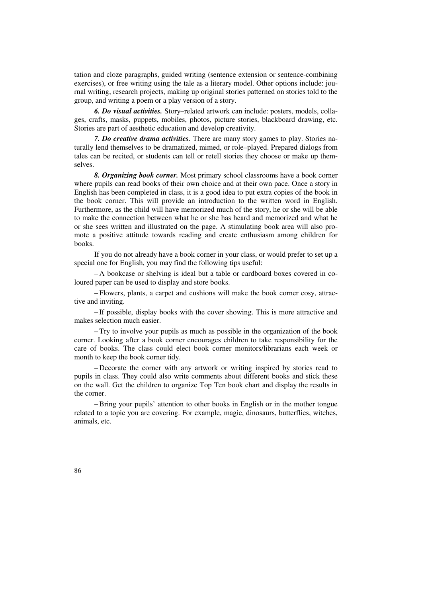tation and cloze paragraphs, guided writing (sentence extension or sentence-combining exercises), or free writing using the tale as a literary model. Other options include: journal writing, research projects, making up original stories patterned on stories told to the group, and writing a poem or a play version of a story.

*6. Do visual activities.* Story–related artwork can include: posters, models, collages, crafts, masks, puppets, mobiles, photos, picture stories, blackboard drawing, etc. Stories are part of aesthetic education and develop creativity.

*7. Do creative drama activities.* There are many story games to play. Stories naturally lend themselves to be dramatized, mimed, or role–played. Prepared dialogs from tales can be recited, or students can tell or retell stories they choose or make up themselves.

*8. Organizing book corner.* Most primary school classrooms have a book corner where pupils can read books of their own choice and at their own pace. Once a story in English has been completed in class, it is a good idea to put extra copies of the book in the book corner. This will provide an introduction to the written word in English. Furthermore, as the child will have memorized much of the story, he or she will be able to make the connection between what he or she has heard and memorized and what he or she sees written and illustrated on the page. A stimulating book area will also promote a positive attitude towards reading and create enthusiasm among children for books.

If you do not already have a book corner in your class, or would prefer to set up a special one for English, you may find the following tips useful:

– A bookcase or shelving is ideal but a table or cardboard boxes covered in coloured paper can be used to display and store books.

– Flowers, plants, a carpet and cushions will make the book corner cosy, attractive and inviting.

– If possible, display books with the cover showing. This is more attractive and makes selection much easier.

– Try to involve your pupils as much as possible in the organization of the book corner. Looking after a book corner encourages children to take responsibility for the care of books. The class could elect book corner monitors/librarians each week or month to keep the book corner tidy.

– Decorate the corner with any artwork or writing inspired by stories read to pupils in class. They could also write comments about different books and stick these on the wall. Get the children to organize Top Ten book chart and display the results in the corner.

– Bring your pupils' attention to other books in English or in the mother tongue related to a topic you are covering. For example, magic, dinosaurs, butterflies, witches, animals, etc.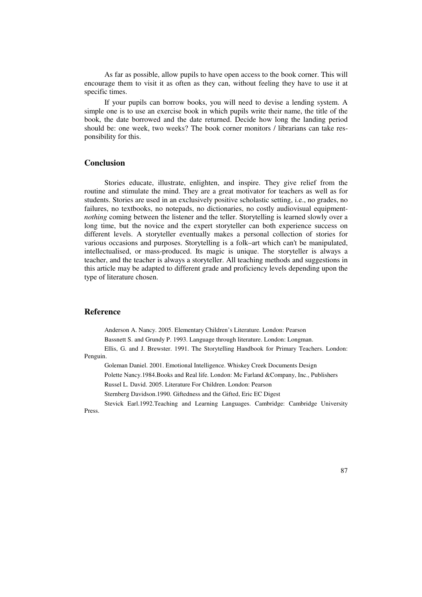As far as possible, allow pupils to have open access to the book corner. This will encourage them to visit it as often as they can, without feeling they have to use it at specific times.

If your pupils can borrow books, you will need to devise a lending system. A simple one is to use an exercise book in which pupils write their name, the title of the book, the date borrowed and the date returned. Decide how long the landing period should be: one week, two weeks? The book corner monitors / librarians can take responsibility for this.

## **Conclusion**

Stories educate, illustrate, enlighten, and inspire. They give relief from the routine and stimulate the mind. They are a great motivator for teachers as well as for students. Stories are used in an exclusively positive scholastic setting, i.e., no grades, no failures, no textbooks, no notepads, no dictionaries, no costly audiovisual equipment*nothing* coming between the listener and the teller. Storytelling is learned slowly over a long time, but the novice and the expert storyteller can both experience success on different levels. A storyteller eventually makes a personal collection of stories for various occasions and purposes. Storytelling is a folk–art which can't be manipulated, intellectualised, or mass-produced. Its magic is unique. The storyteller is always a teacher, and the teacher is always a storyteller. All teaching methods and suggestions in this article may be adapted to different grade and proficiency levels depending upon the type of literature chosen.

#### **Reference**

Anderson A. Nancy. 2005. Elementary Children's Literature. London: Pearson

Bassnett S. and Grundy P. 1993. Language through literature. London: Longman.

Ellis, G. and J. Brewster. 1991. The Storytelling Handbook for Primary Teachers. London: Penguin.

Goleman Daniel. 2001. Emotional Intelligence. Whiskey Creek Documents Design

Polette Nancy.1984.Books and Real life. London: Mc Farland &Company, Inc., Publishers

Russel L. David. 2005. Literature For Children. London: Pearson

Sternberg Davidson.1990. Giftedness and the Gifted, Eric EC Digest

Stevick Earl.1992.Teaching and Learning Languages. Cambridge: Cambridge University Press.